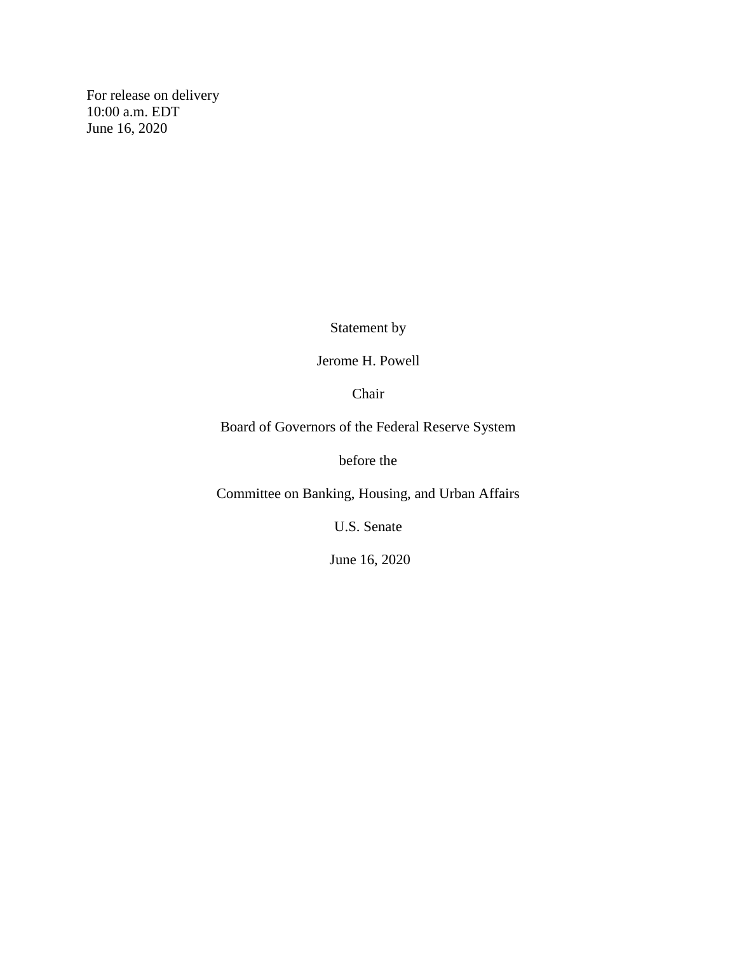For release on delivery 10:00 a.m. EDT June 16, 2020

Statement by

Jerome H. Powell

Chair

Board of Governors of the Federal Reserve System

before the

Committee on Banking, Housing, and Urban Affairs

U.S. Senate

June 16, 2020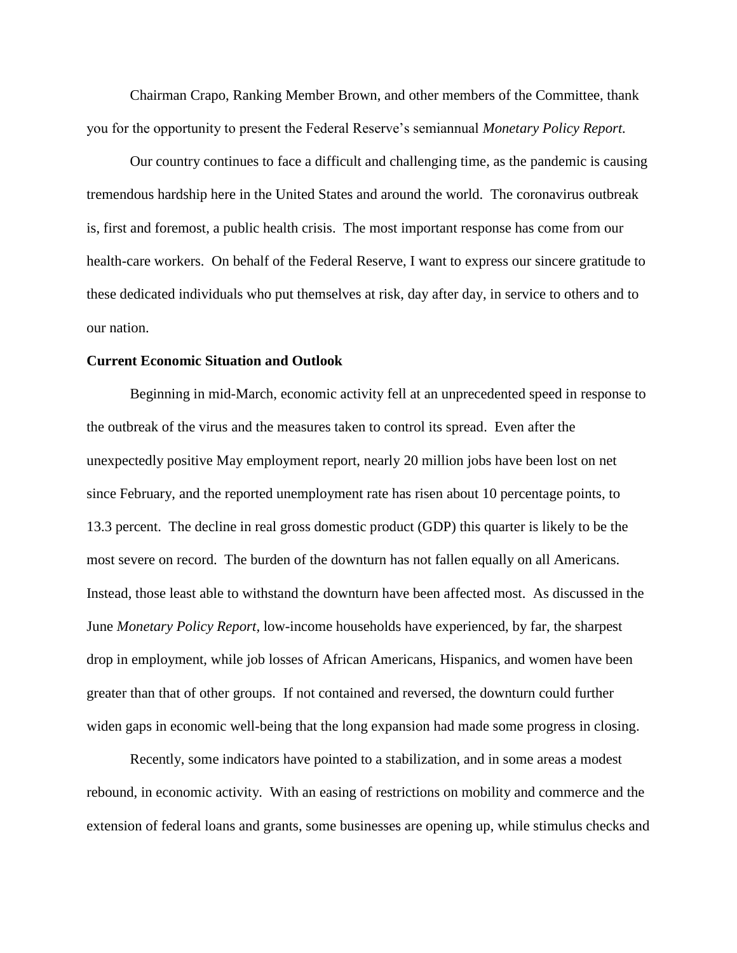Chairman Crapo, Ranking Member Brown, and other members of the Committee, thank you for the opportunity to present the Federal Reserve's semiannual *Monetary Policy Report.*

Our country continues to face a difficult and challenging time, as the pandemic is causing tremendous hardship here in the United States and around the world. The coronavirus outbreak is, first and foremost, a public health crisis. The most important response has come from our health-care workers. On behalf of the Federal Reserve, I want to express our sincere gratitude to these dedicated individuals who put themselves at risk, day after day, in service to others and to our nation.

## **Current Economic Situation and Outlook**

Beginning in mid-March, economic activity fell at an unprecedented speed in response to the outbreak of the virus and the measures taken to control its spread. Even after the unexpectedly positive May employment report, nearly 20 million jobs have been lost on net since February, and the reported unemployment rate has risen about 10 percentage points, to 13.3 percent. The decline in real gross domestic product (GDP) this quarter is likely to be the most severe on record. The burden of the downturn has not fallen equally on all Americans. Instead, those least able to withstand the downturn have been affected most. As discussed in the June *Monetary Policy Report,* low-income households have experienced, by far, the sharpest drop in employment, while job losses of African Americans, Hispanics, and women have been greater than that of other groups. If not contained and reversed, the downturn could further widen gaps in economic well-being that the long expansion had made some progress in closing.

Recently, some indicators have pointed to a stabilization, and in some areas a modest rebound, in economic activity. With an easing of restrictions on mobility and commerce and the extension of federal loans and grants, some businesses are opening up, while stimulus checks and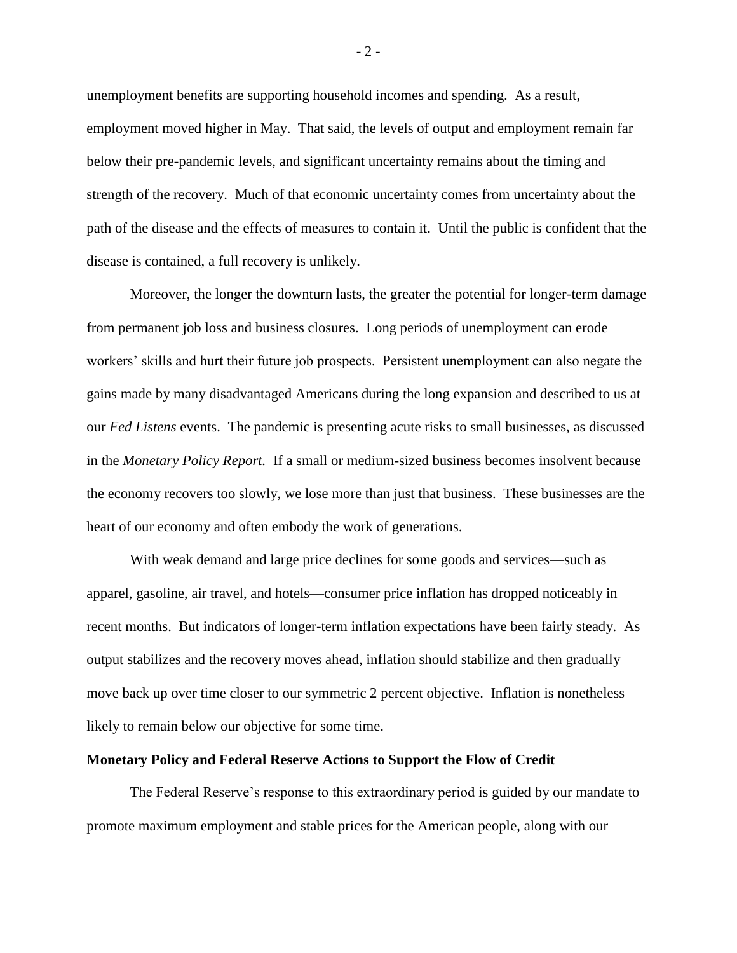unemployment benefits are supporting household incomes and spending. As a result, employment moved higher in May. That said, the levels of output and employment remain far below their pre-pandemic levels, and significant uncertainty remains about the timing and strength of the recovery. Much of that economic uncertainty comes from uncertainty about the path of the disease and the effects of measures to contain it. Until the public is confident that the disease is contained, a full recovery is unlikely.

Moreover, the longer the downturn lasts, the greater the potential for longer-term damage from permanent job loss and business closures. Long periods of unemployment can erode workers' skills and hurt their future job prospects. Persistent unemployment can also negate the gains made by many disadvantaged Americans during the long expansion and described to us at our *Fed Listens* events. The pandemic is presenting acute risks to small businesses, as discussed in the *Monetary Policy Report.* If a small or medium-sized business becomes insolvent because the economy recovers too slowly, we lose more than just that business. These businesses are the heart of our economy and often embody the work of generations.

With weak demand and large price declines for some goods and services—such as apparel, gasoline, air travel, and hotels—consumer price inflation has dropped noticeably in recent months. But indicators of longer-term inflation expectations have been fairly steady. As output stabilizes and the recovery moves ahead, inflation should stabilize and then gradually move back up over time closer to our symmetric 2 percent objective. Inflation is nonetheless likely to remain below our objective for some time.

## **Monetary Policy and Federal Reserve Actions to Support the Flow of Credit**

The Federal Reserve's response to this extraordinary period is guided by our mandate to promote maximum employment and stable prices for the American people, along with our

- 2 -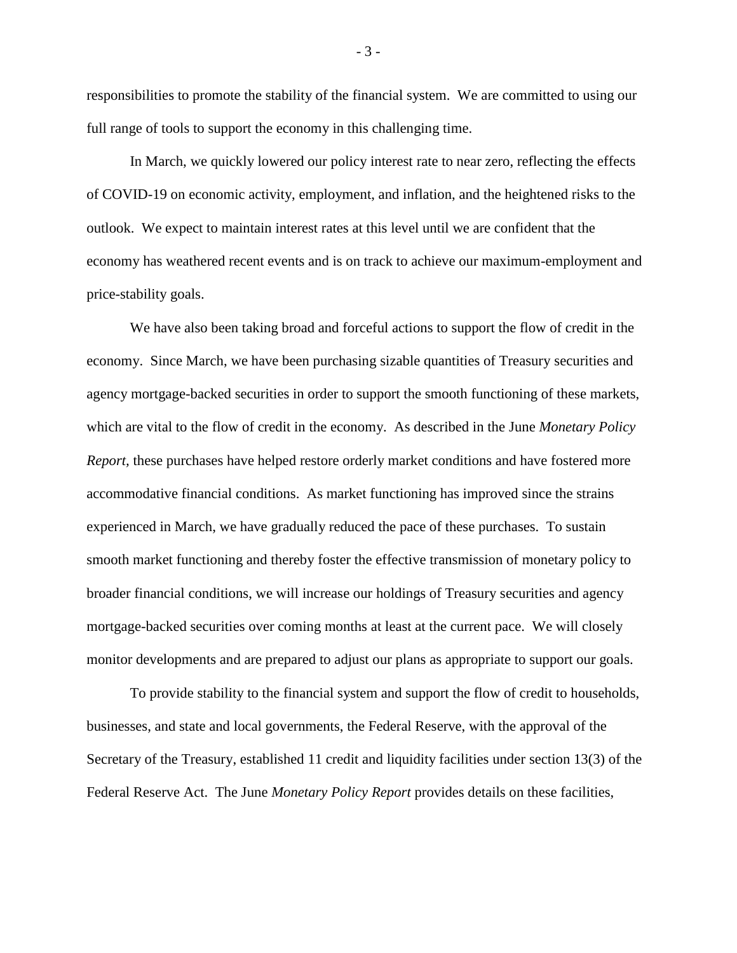responsibilities to promote the stability of the financial system. We are committed to using our full range of tools to support the economy in this challenging time.

In March, we quickly lowered our policy interest rate to near zero, reflecting the effects of COVID-19 on economic activity, employment, and inflation, and the heightened risks to the outlook. We expect to maintain interest rates at this level until we are confident that the economy has weathered recent events and is on track to achieve our maximum-employment and price-stability goals.

We have also been taking broad and forceful actions to support the flow of credit in the economy. Since March, we have been purchasing sizable quantities of Treasury securities and agency mortgage-backed securities in order to support the smooth functioning of these markets, which are vital to the flow of credit in the economy. As described in the June *Monetary Policy Report,* these purchases have helped restore orderly market conditions and have fostered more accommodative financial conditions. As market functioning has improved since the strains experienced in March, we have gradually reduced the pace of these purchases. To sustain smooth market functioning and thereby foster the effective transmission of monetary policy to broader financial conditions, we will increase our holdings of Treasury securities and agency mortgage-backed securities over coming months at least at the current pace. We will closely monitor developments and are prepared to adjust our plans as appropriate to support our goals.

To provide stability to the financial system and support the flow of credit to households, businesses, and state and local governments, the Federal Reserve, with the approval of the Secretary of the Treasury, established 11 credit and liquidity facilities under section 13(3) of the Federal Reserve Act. The June *Monetary Policy Report* provides details on these facilities,

- 3 -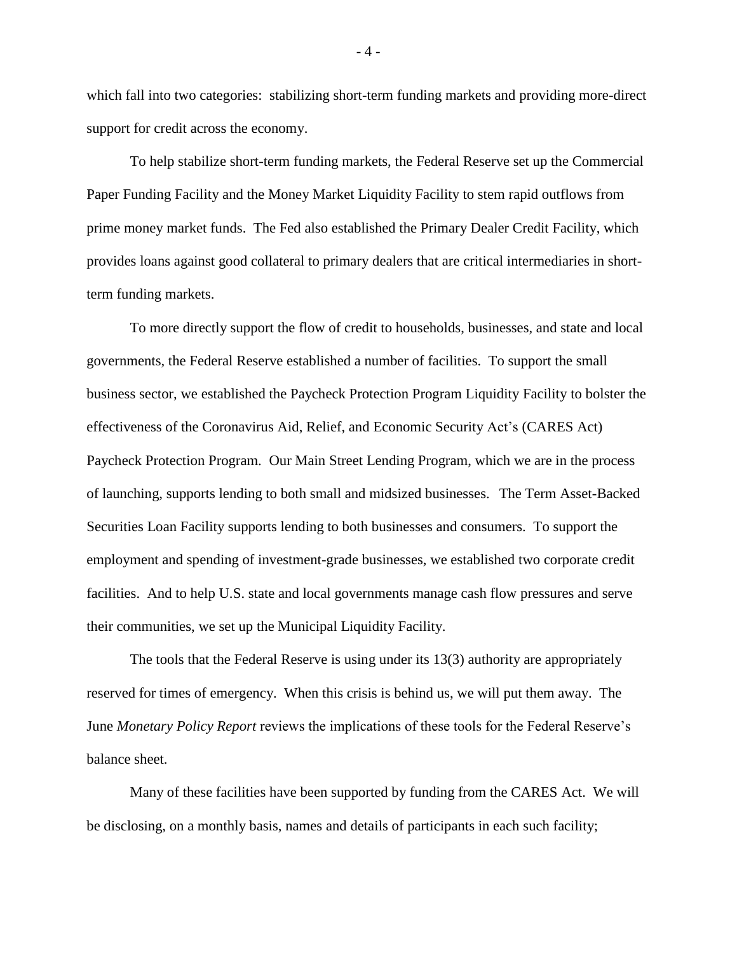which fall into two categories: stabilizing short-term funding markets and providing more-direct support for credit across the economy.

To help stabilize short-term funding markets, the Federal Reserve set up the Commercial Paper Funding Facility and the Money Market Liquidity Facility to stem rapid outflows from prime money market funds. The Fed also established the Primary Dealer Credit Facility, which provides loans against good collateral to primary dealers that are critical intermediaries in shortterm funding markets.

To more directly support the flow of credit to households, businesses, and state and local governments, the Federal Reserve established a number of facilities. To support the small business sector, we established the Paycheck Protection Program Liquidity Facility to bolster the effectiveness of the Coronavirus Aid, Relief, and Economic Security Act's (CARES Act) Paycheck Protection Program. Our Main Street Lending Program, which we are in the process of launching, supports lending to both small and midsized businesses. The Term Asset-Backed Securities Loan Facility supports lending to both businesses and consumers. To support the employment and spending of investment-grade businesses, we established two corporate credit facilities. And to help U.S. state and local governments manage cash flow pressures and serve their communities, we set up the Municipal Liquidity Facility.

The tools that the Federal Reserve is using under its 13(3) authority are appropriately reserved for times of emergency. When this crisis is behind us, we will put them away. The June *Monetary Policy Report* reviews the implications of these tools for the Federal Reserve's balance sheet.

Many of these facilities have been supported by funding from the CARES Act. We will be disclosing, on a monthly basis, names and details of participants in each such facility;

- 4 -